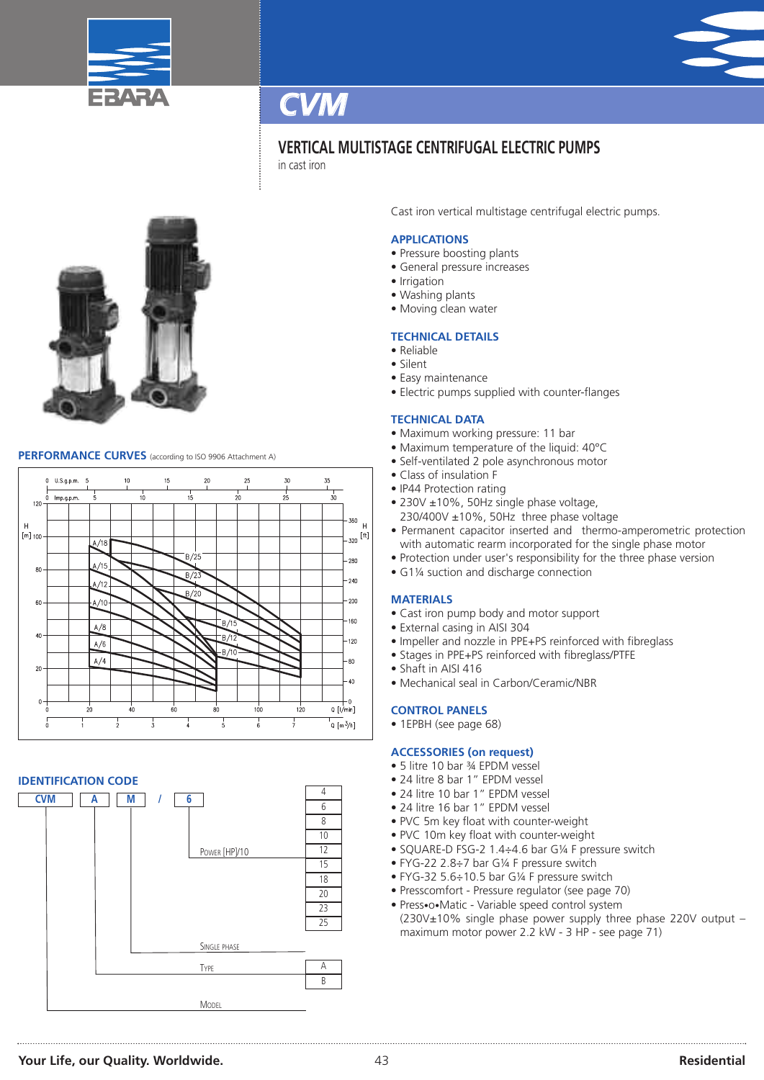



in cast iron



### **PERFORMANCE CURVES** (according to ISO <sup>9906</sup> Attachment A)



#### **IDENTIFICATION CODE**



Cast iron vertical multistage centrifugal electric pumps.

#### **APPLICATIONS**

- Pressure boosting plants
- General pressure increases
- Irrigation
- Washing plants
- Moving clean water

#### **TECHNICAL DETAILS**

- Reliable
- Silent
- Easy maintenance
- Electric pumps supplied with counter-flanges

#### **TECHNICAL DATA**

- Maximum working pressure: 11 bar
- Maximum temperature of the liquid: 40°C
- Self-ventilated 2 pole asynchronous motor
- Class of insulation F
- IP44 Protection rating
- 230V ±10%, 50Hz single phase voltage, 230/400V ±10%, 50Hz three phase voltage
- Permanent capacitor inserted and thermo-amperometric protection with automatic rearm incorporated for the single phase motor
- Protection under user's responsibility for the three phase version
- G1¼ suction and discharge connection

#### **MATERIALS**

- Cast iron pump body and motor support
- External casing in AISI 304
- Impeller and nozzle in PPE+PS reinforced with fibreglass
- Stages in PPE+PS reinforced with fibreglass/PTFE
- Shaft in AISI 416
- Mechanical seal in Carbon/Ceramic/NBR

#### **CONTROL PANELS**

• 1EPBH (see page 68)

#### **ACCESSORIES (on request)**

- 5 litre 10 bar ¾ EPDM vessel
- 24 litre 8 bar 1" EPDM vessel
- 24 litre 10 bar 1" EPDM vessel
- 24 litre 16 bar 1" EPDM vessel
- PVC 5m key float with counter-weight
- PVC 10m key float with counter-weight
- SQUARE-D FSG-2 1.4÷4.6 bar G¼ F pressure switch
- FYG-22 2.8÷7 bar G¼ F pressure switch
- FYG-32 5.6÷10.5 bar G¼ F pressure switch
- Presscomfort Pressure regulator (see page 70)
- Press•o•Matic Variable speed control system (230V±10% single phase power supply three phase 220V output – maximum motor power 2.2 kW - 3 HP - see page 71)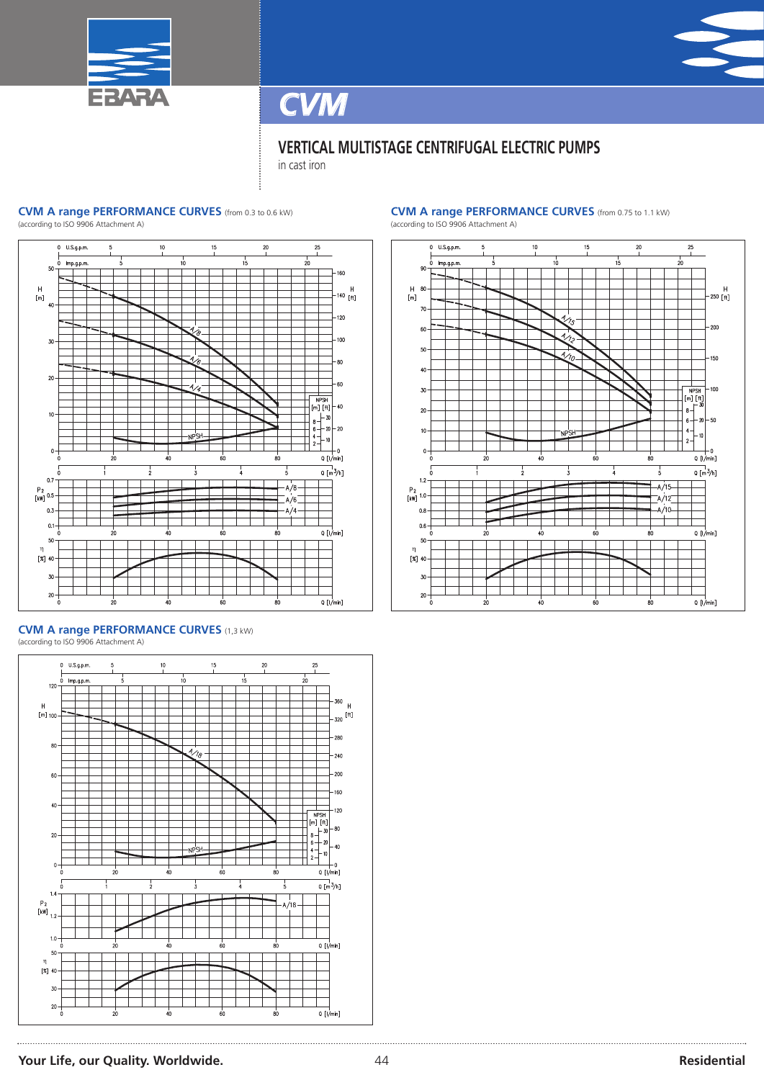



 $20$ 

in cast iron

#### **CVM A range PERFORMANCE CURVES** (from 0.3 to 0.6 kW)

(according to ISO 9906 Attachment A)



#### **CVM A range PERFORMANCE CURVES** (1,3 kW) (according to ISO 9906 Attachment A)



### **CVM A range PERFORMANCE CURVES** (from 0.75 to 1.1 kW)



 $Q$  [l/min]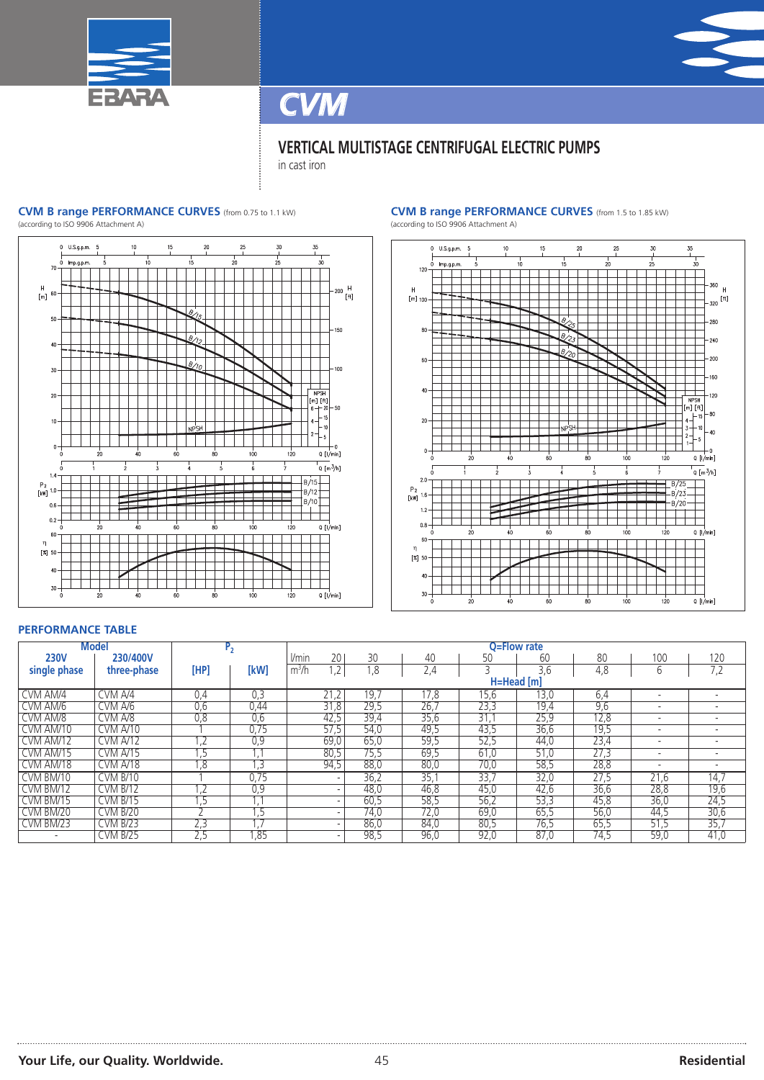



in cast iron

#### **CVM B range PERFORMANCE CURVES** (from 0.75 to 1.1 kW)

(according to ISO 9906 Attachment A)



#### **CVM B range PERFORMANCE CURVES** (from 1.5 to 1.85 kW)





#### **PERFORMANCE TABLE**

| <b>Model</b><br>P <sub>2</sub> |                 |      | O=Flow rate |                          |      |      |      |            |      |      |      |
|--------------------------------|-----------------|------|-------------|--------------------------|------|------|------|------------|------|------|------|
| <b>230V</b>                    | 230/400V        |      |             | l/min<br>20              | 30   | 40   | 50   | 60         | 80   | 100  | 120  |
| single phase                   | three-phase     | [HP] | [kW]        | m <sup>3</sup> /h<br>1,2 | 1,8  | 2,4  |      | 3,6        | 4,8  | 6    | 7,2  |
|                                |                 |      |             |                          |      |      |      | H=Head [m] |      |      |      |
| CVM AM/4                       | CVM A/4         | 0,4  | 0,3         | 21,2                     | 19.7 | 17.8 | 15,6 | 13,0       | 6,4  |      |      |
| CVM AM/6                       | CVM A/6         | 0,6  | 0,44        | 31,8                     | 29,5 | 26,7 | 23,3 | 19,4       | 9,6  |      |      |
| CVM AM/8                       | CVM A/8         | 0,8  | 0,6         | 42,5                     | 39,4 | 35,6 | 31.  | 25,9       | 12,8 |      |      |
| CVM AM/10                      | CVM A/10        |      | 0,75        | 57,5                     | 54,0 | 49,5 | 43,5 | 36,6       | 19,5 |      |      |
| CVM AM/12                      | <b>CVM A/12</b> | .2   | 0,9         | 69,0                     | 65,0 | 59,5 | 52,5 | 44,0       | 23,4 |      |      |
| CVM AM/15                      | CVM A/15        |      |             | 80,5                     | 75,5 | 69,5 | 61,0 | 51,0       | 27,3 | -    |      |
| CVM AM/18                      | CVM A/18        | 8,   | .3          | 94,5                     | 88,0 | 80,0 | 70,0 | 58,5       | 28,8 |      |      |
| CVM BM/10                      | <b>CVM B/10</b> |      | 0,75        |                          | 36,2 | 35,  | 33,7 | 32,0       | 27,5 | 21,6 | 14,7 |
| CVM BM/12                      | <b>CVM B/12</b> | , 4  | 0,9         | $\overline{\phantom{0}}$ | 48,0 | 46,8 | 45,0 | 42,6       | 36,6 | 28,8 | 19,6 |
| CVM BM/15                      | <b>CVM B/15</b> | כ.   |             |                          | 60,5 | 58,5 | 56,2 | 53,3       | 45,8 | 36,0 | 24,5 |
| CVM BM/20                      | <b>CVM B/20</b> |      | . כ         |                          | 74,0 | 72,0 | 69,0 | 65,5       | 56,0 | 44,5 | 30,6 |
| CVM BM/23                      | <b>CVM B/23</b> | 2,3  |             | $\overline{\phantom{0}}$ | 86,0 | 84,0 | 80,5 | 76,5       | 65,5 | 51,5 | 35,7 |
|                                | <b>CVM B/25</b> | 2,5  | ,85         |                          | 98,5 | 96,0 | 92,0 | 87,0       | 74,5 | 59,0 | 41,0 |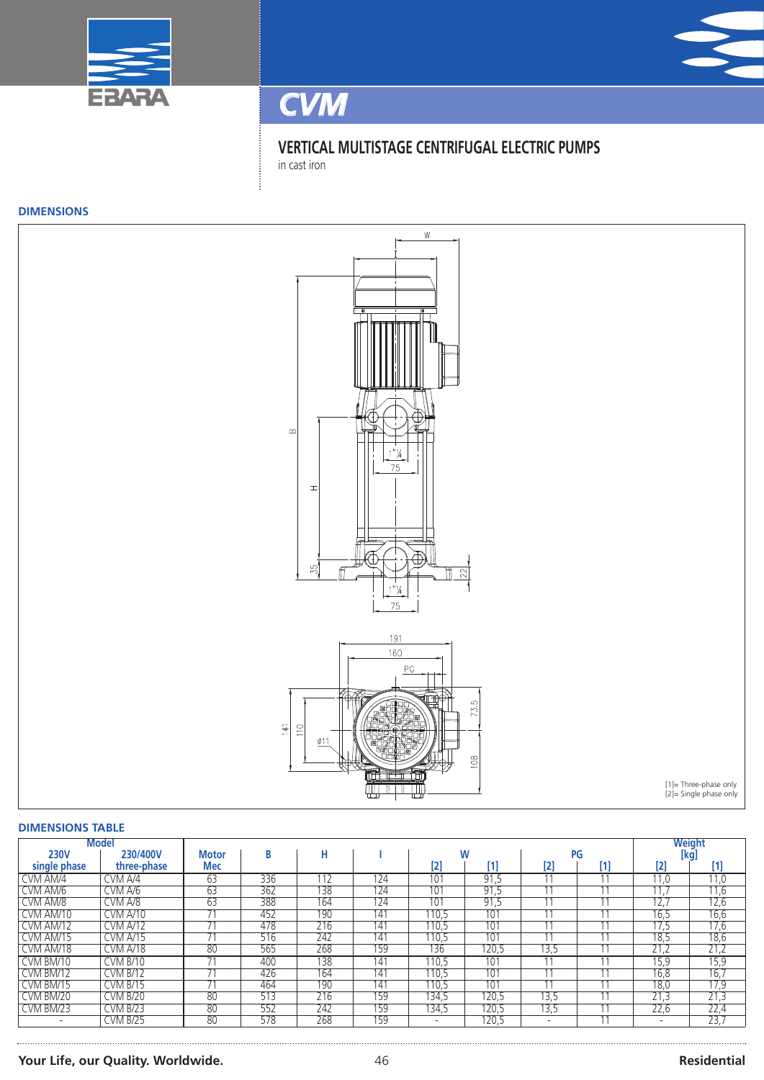





in cast iron

#### **DIMENSIONS**



#### **DIMENSIONS TABLE**

| <b>Model</b>             |                 |              |     |     |     |       |          |                          |    |      | Weight |
|--------------------------|-----------------|--------------|-----|-----|-----|-------|----------|--------------------------|----|------|--------|
| <b>230V</b>              | 230/400V        | <b>Motor</b> | B   | н   |     |       |          |                          | PG |      | [kq]   |
| single phase             | three-phase     | <b>Mec</b>   |     |     |     | [2]   | Γ1       | $[2]$                    | 0  | [2]  | $[1]$  |
| CVM AM/4                 | CVM A/4         | 63           | 336 | 112 | 124 | 101   | 91<br>د. |                          |    | 11.0 | 11,0   |
| CVM AM/6                 | CVM A/6         | 63           | 362 | 138 | 124 | 101   | 91,5     |                          |    | 11.7 | 11,6   |
| CVM AM/8                 | CVM A/8         | 63           | 388 | 164 | 124 | 101   | 91.5     |                          |    | 12,7 | 12,6   |
| CVM AM/10                | CVM A/10        |              | 452 | 190 | 141 | 110.5 | 101      |                          |    | 16,5 | 16,6   |
| CVM AM/12                | <b>CVM A/12</b> |              | 478 | 216 | 141 | 110,5 | 101      |                          |    | 17,5 | 17,6   |
| CVM AM/15                | CVM A/15        | 74           | 516 | 242 | 141 | 110.5 | 101      | 11                       |    | 18.5 | 18,6   |
| CVM AM/18                | CVM A/18        | 80           | 565 | 268 | 159 | 136   | 120,5    | 13,5                     |    | 21,2 | 21,2   |
| CVM BM/10                | <b>CVM B/10</b> |              | 400 | 138 | 141 | 110,5 | 101      |                          |    | 15,9 | 15,9   |
| CVM BM/12                | <b>CVM B/12</b> | 74           | 426 | 164 | 141 | 110,5 | 101      | A                        |    | 16,8 | 16,7   |
| CVM BM/15                | <b>CVM B/15</b> |              | 464 | 190 | 141 | 110.5 | 101      |                          |    | 18,0 | 17,9   |
| CVM BM/20                | <b>CVM B/20</b> | 80           | 513 | 216 | 159 | 134,5 | 120,5    | 13,5                     |    | 21,3 | 21,3   |
| CVM BM/23                | <b>CVM B/23</b> | 80           | 552 | 242 | 159 | 134,5 | 120,5    | 13,5                     |    | 22,6 | 22,4   |
| $\overline{\phantom{a}}$ | <b>CVM B/25</b> | 80           | 578 | 268 | 159 |       | 120,5    | $\overline{\phantom{a}}$ | 44 |      | 23,7   |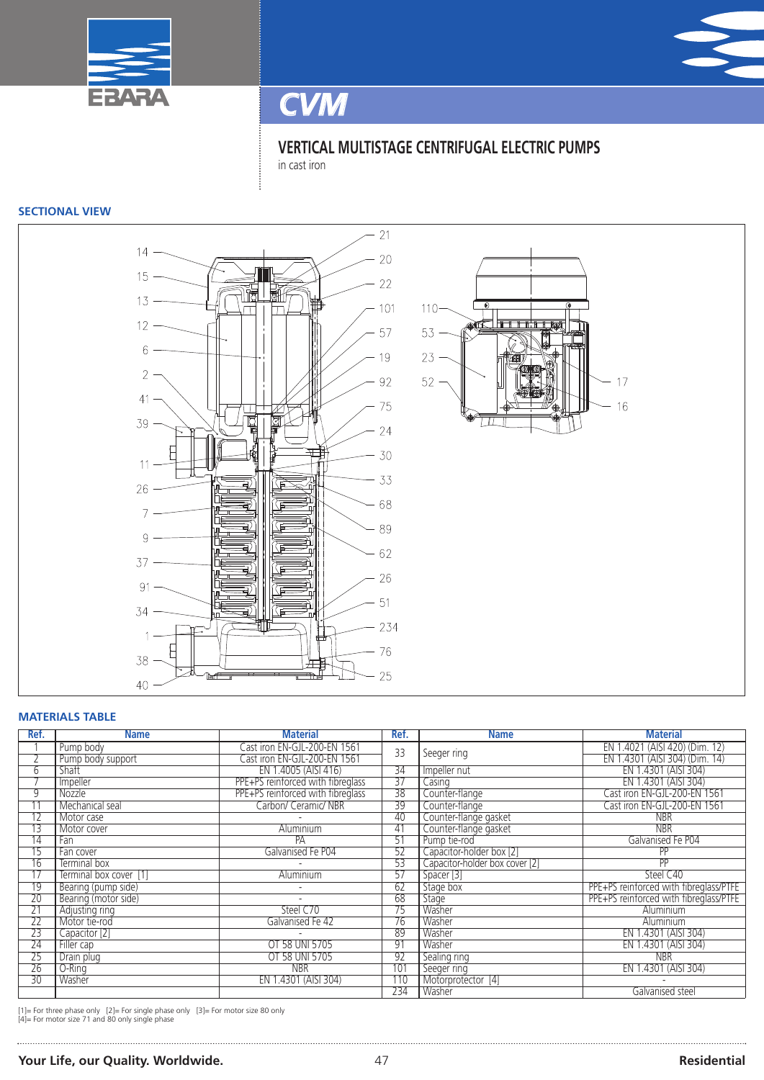



*CVM*

**VERTICAL MULTISTAGE CENTRIFUGAL ELECTRIC PUMPS** in cast iron

#### **SECTIONAL VIEW**



#### **MATERIALS TABLE**

| Ref.            | <b>Name</b>            | <b>Material</b>                   | Ref.            | <b>Name</b>                    | <b>Material</b>                        |
|-----------------|------------------------|-----------------------------------|-----------------|--------------------------------|----------------------------------------|
|                 | Pump body              | Cast iron EN-GJL-200-EN 1561      | 33              | Seeger ring                    | EN 1.4021 (AISI 420) (Dim. 12)         |
|                 | Pump body support      | Cast iron EN-GJL-200-EN 1561      |                 |                                | EN 1.4301 (AISI 304) (Dim. 14)         |
| 6               | Shaft                  | EN 1.4005 (AISI 416)              | $\overline{34}$ | Impeller nut                   | EN 1.4301 (AISI 304)                   |
|                 | Impeller               | PPE+PS reinforced with fibreglass | $\overline{37}$ | Casing                         | EN 1.4301 (AISI 304)                   |
| 9               | Nozzle                 | PPE+PS reinforced with fibreglass | $\overline{38}$ | Counter-flange                 | Cast iron EN-GJL-200-EN 1561           |
| 11              | Mechanical seal        | Carbon/ Ceramic/ NBR              | 39              | Counter-flange                 | Cast iron EN-GJL-200-EN 1561           |
| $\overline{12}$ | Motor case             |                                   | 40              | Counter-flange gasket          | <b>NBR</b>                             |
| 13              | Motor cover            | Aluminium                         | 41              | Counter-flange gasket          | <b>NBR</b>                             |
| $\overline{14}$ | Fan                    | PA                                | $\overline{51}$ | Pump tie-rod                   | Galvanised Fe P04                      |
| 15              | Fan cover              | Galvanised Fe P04                 | 52              | Capacitor-holder box [2]       | <b>PP</b>                              |
| 16              | Terminal box           |                                   | 53              | Capacitor-holder box cover [2] | PP                                     |
| $\overline{17}$ | Terminal box cover [1] | Aluminium                         | 57              | Spacer [3]                     | Steel C40                              |
| 19              | Bearing (pump side)    |                                   | 62              | Stage box                      | PPE+PS reinforced with fibreglass/PTFE |
| $\overline{20}$ | Bearing (motor side)   |                                   | 68              | Stage                          | PPE+PS reinforced with fibreglass/PTFE |
| $\overline{21}$ | Adjusting ring         | Steel C70                         | 75              | Washer                         | <b>Aluminium</b>                       |
| $\overline{22}$ | Motor tie-rod          | Galvanised Fe 42                  | 76              | Washer                         | <b>Aluminium</b>                       |
| $\overline{23}$ | Capacitor [2]          |                                   | 89              | Washer                         | EN 1.4301 (AISI 304)                   |
| $\overline{24}$ | Filler cap             | OT 58 UNI 5705                    | 91              | Washer                         | EN 1.4301 (AISI 304)                   |
| $\overline{25}$ | Drain plug             | OT 58 UNI 5705                    | 92              | Sealing ring                   | <b>NBR</b>                             |
| $\overline{26}$ | O-Ring                 | <b>NBR</b>                        | 101             | Seeger ring                    | EN 1.4301 (AISI 304)                   |
| 30              | Washer                 | EN 1.4301 (AISI 304)              | 110             | Motorprotector [4]             |                                        |
|                 |                        |                                   | 234             | Washer                         | Galvanised steel                       |

[1]= For three phase only [2]= For single phase only [3]= For motor size 80 only [4]= For motor size 71 and 80 only single phase